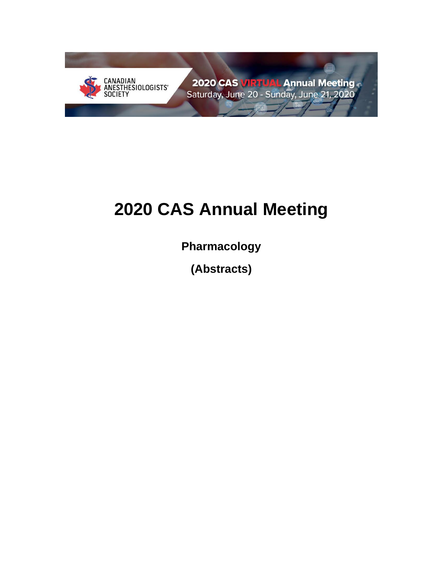

# **2020 CAS Annual Meeting**

**Pharmacology**

**(Abstracts)**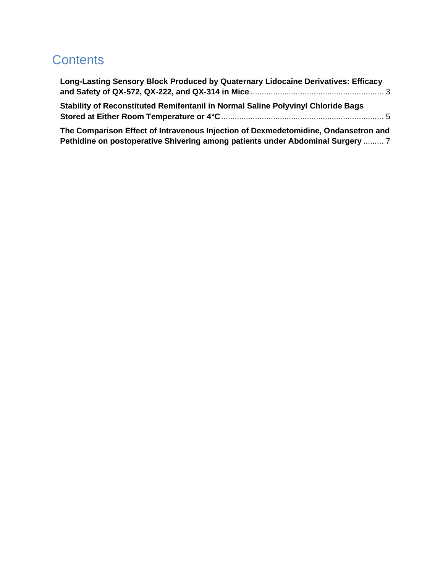# **Contents**

| Long-Lasting Sensory Block Produced by Quaternary Lidocaine Derivatives: Efficacy |
|-----------------------------------------------------------------------------------|
|                                                                                   |
|                                                                                   |
|                                                                                   |
|                                                                                   |

**[The Comparison Effect of Intravenous Injection of Dexmedetomidine, Ondansetron and](#page-6-0)  [Pethidine on postoperative Shivering among patients under Abdominal Surgery](#page-6-0)** ......... 7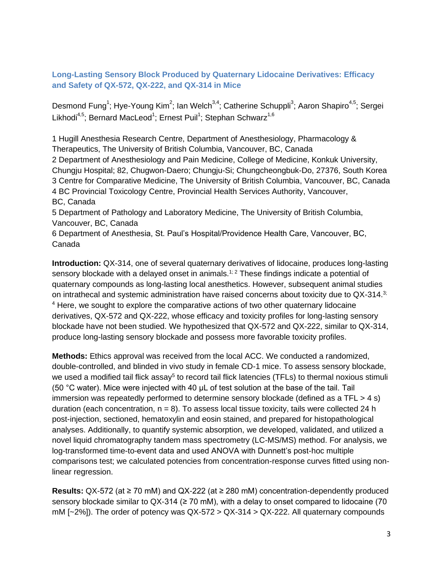<span id="page-2-0"></span>**Long-Lasting Sensory Block Produced by Quaternary Lidocaine Derivatives: Efficacy and Safety of QX-572, QX-222, and QX-314 in Mice**

Desmond Fung<sup>1</sup>; Hye-Young Kim<sup>2</sup>; Ian Welch<sup>3,4</sup>; Catherine Schuppli<sup>3</sup>; Aaron Shapiro<sup>4,5</sup>; Sergei Likhodi<sup>4,5</sup>; Bernard MacLeod<sup>1</sup>; Ernest Puil<sup>1</sup>; Stephan Schwarz<sup>1,6</sup>

1 Hugill Anesthesia Research Centre, Department of Anesthesiology, Pharmacology & Therapeutics, The University of British Columbia, Vancouver, BC, Canada 2 Department of Anesthesiology and Pain Medicine, College of Medicine, Konkuk University, Chungju Hospital; 82, Chugwon-Daero; Chungju-Si; Chungcheongbuk-Do, 27376, South Korea 3 Centre for Comparative Medicine, The University of British Columbia, Vancouver, BC, Canada 4 BC Provincial Toxicology Centre, Provincial Health Services Authority, Vancouver, BC, Canada

5 Department of Pathology and Laboratory Medicine, The University of British Columbia, Vancouver, BC, Canada

6 Department of Anesthesia, St. Paul's Hospital/Providence Health Care, Vancouver, BC, Canada

**Introduction:** QX-314, one of several quaternary derivatives of lidocaine, produces long-lasting sensory blockade with a delayed onset in animals.<sup>1; 2</sup> These findings indicate a potential of quaternary compounds as long-lasting local anesthetics. However, subsequent animal studies on intrathecal and systemic administration have raised concerns about toxicity due to QX-314.<sup>3;</sup> <sup>4</sup> Here, we sought to explore the comparative actions of two other quaternary lidocaine derivatives, QX-572 and QX-222, whose efficacy and toxicity profiles for long-lasting sensory blockade have not been studied. We hypothesized that QX-572 and QX-222, similar to QX-314, produce long-lasting sensory blockade and possess more favorable toxicity profiles.

**Methods:** Ethics approval was received from the local ACC. We conducted a randomized, double-controlled, and blinded in vivo study in female CD-1 mice. To assess sensory blockade, we used a modified tail flick assay<sup>5</sup> to record tail flick latencies (TFLs) to thermal noxious stimuli (50 °C water). Mice were injected with 40 μL of test solution at the base of the tail. Tail immersion was repeatedly performed to determine sensory blockade (defined as a TFL  $>$  4 s) duration (each concentration,  $n = 8$ ). To assess local tissue toxicity, tails were collected 24 h post-injection, sectioned, hematoxylin and eosin stained, and prepared for histopathological analyses. Additionally, to quantify systemic absorption, we developed, validated, and utilized a novel liquid chromatography tandem mass spectrometry (LC-MS/MS) method. For analysis, we log-transformed time-to-event data and used ANOVA with Dunnett's post-hoc multiple comparisons test; we calculated potencies from concentration-response curves fitted using nonlinear regression.

**Results:** QX-572 (at ≥ 70 mM) and QX-222 (at ≥ 280 mM) concentration-dependently produced sensory blockade similar to QX-314 ( $\geq$  70 mM), with a delay to onset compared to lidocaine (70 mM  $[-2\%]$ ). The order of potency was  $QX-572 > QX-314 > QX-222$ . All quaternary compounds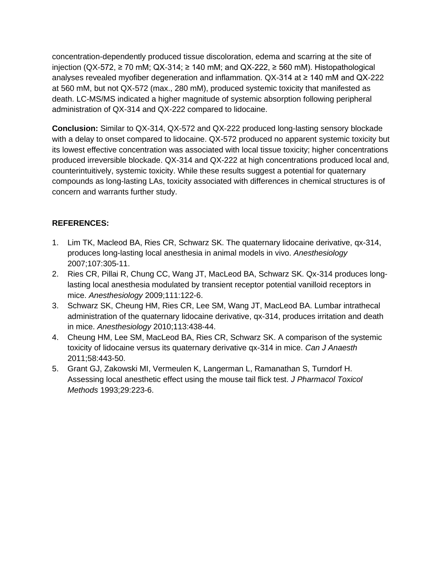concentration-dependently produced tissue discoloration, edema and scarring at the site of injection (QX-572, ≥ 70 mM; QX-314; ≥ 140 mM; and QX-222, ≥ 560 mM). Histopathological analyses revealed myofiber degeneration and inflammation. QX-314 at ≥ 140 mM and QX-222 at 560 mM, but not QX-572 (max., 280 mM), produced systemic toxicity that manifested as death. LC-MS/MS indicated a higher magnitude of systemic absorption following peripheral administration of QX-314 and QX-222 compared to lidocaine.

**Conclusion:** Similar to QX-314, QX-572 and QX-222 produced long-lasting sensory blockade with a delay to onset compared to lidocaine. QX-572 produced no apparent systemic toxicity but its lowest effective concentration was associated with local tissue toxicity; higher concentrations produced irreversible blockade. QX-314 and QX-222 at high concentrations produced local and, counterintuitively, systemic toxicity. While these results suggest a potential for quaternary compounds as long-lasting LAs, toxicity associated with differences in chemical structures is of concern and warrants further study.

## **REFERENCES:**

- 1. Lim TK, Macleod BA, Ries CR, Schwarz SK. The quaternary lidocaine derivative, qx-314, produces long-lasting local anesthesia in animal models in vivo. *Anesthesiology* 2007;107:305-11.
- 2. Ries CR, Pillai R, Chung CC, Wang JT, MacLeod BA, Schwarz SK. Qx-314 produces longlasting local anesthesia modulated by transient receptor potential vanilloid receptors in mice. *Anesthesiology* 2009;111:122-6.
- 3. Schwarz SK, Cheung HM, Ries CR, Lee SM, Wang JT, MacLeod BA. Lumbar intrathecal administration of the quaternary lidocaine derivative, qx-314, produces irritation and death in mice. *Anesthesiology* 2010;113:438-44.
- 4. Cheung HM, Lee SM, MacLeod BA, Ries CR, Schwarz SK. A comparison of the systemic toxicity of lidocaine versus its quaternary derivative qx-314 in mice. *Can J Anaesth* 2011;58:443-50.
- 5. Grant GJ, Zakowski MI, Vermeulen K, Langerman L, Ramanathan S, Turndorf H. Assessing local anesthetic effect using the mouse tail flick test. *J Pharmacol Toxicol Methods* 1993;29:223-6.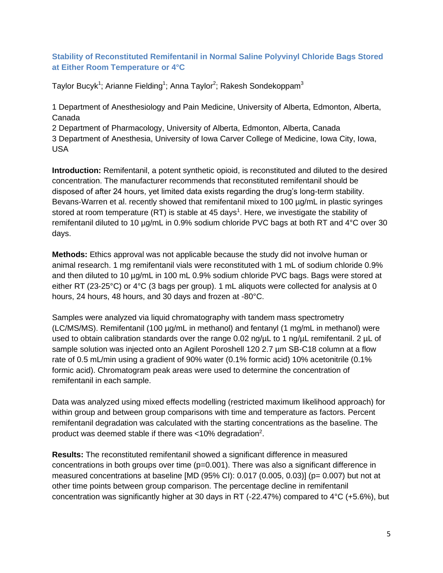#### <span id="page-4-0"></span>**Stability of Reconstituted Remifentanil in Normal Saline Polyvinyl Chloride Bags Stored at Either Room Temperature or 4°C**

Taylor Bucyk $^1$ ; Arianne Fielding $^1$ ; Anna Taylor $^2$ ; Rakesh Sondekoppam $^3$ 

1 Department of Anesthesiology and Pain Medicine, University of Alberta, Edmonton, Alberta, Canada

2 Department of Pharmacology, University of Alberta, Edmonton, Alberta, Canada 3 Department of Anesthesia, University of Iowa Carver College of Medicine, Iowa City, Iowa, USA

**Introduction:** Remifentanil, a potent synthetic opioid, is reconstituted and diluted to the desired concentration. The manufacturer recommends that reconstituted remifentanil should be disposed of after 24 hours, yet limited data exists regarding the drug's long-term stability. Bevans-Warren et al. recently showed that remifentanil mixed to 100 µg/mL in plastic syringes stored at room temperature (RT) is stable at 45 days<sup>1</sup>. Here, we investigate the stability of remifentanil diluted to 10 µg/mL in 0.9% sodium chloride PVC bags at both RT and 4°C over 30 days.

**Methods:** Ethics approval was not applicable because the study did not involve human or animal research. 1 mg remifentanil vials were reconstituted with 1 mL of sodium chloride 0.9% and then diluted to 10 µg/mL in 100 mL 0.9% sodium chloride PVC bags. Bags were stored at either RT (23-25°C) or 4°C (3 bags per group). 1 mL aliquots were collected for analysis at 0 hours, 24 hours, 48 hours, and 30 days and frozen at -80°C.

Samples were analyzed via liquid chromatography with tandem mass spectrometry (LC/MS/MS). Remifentanil (100 µg/mL in methanol) and fentanyl (1 mg/mL in methanol) were used to obtain calibration standards over the range 0.02 ng/uL to 1 ng/uL remifentanil. 2 uL of sample solution was injected onto an Agilent Poroshell 120 2.7 µm SB-C18 column at a flow rate of 0.5 mL/min using a gradient of 90% water (0.1% formic acid) 10% acetonitrile (0.1% formic acid). Chromatogram peak areas were used to determine the concentration of remifentanil in each sample.

Data was analyzed using mixed effects modelling (restricted maximum likelihood approach) for within group and between group comparisons with time and temperature as factors. Percent remifentanil degradation was calculated with the starting concentrations as the baseline. The product was deemed stable if there was <10% degradation<sup>2</sup>.

**Results:** The reconstituted remifentanil showed a significant difference in measured concentrations in both groups over time (p=0.001). There was also a significant difference in measured concentrations at baseline  $[MD (95\% CI): 0.017 (0.005, 0.03)]$  (p= 0.007) but not at other time points between group comparison. The percentage decline in remifentanil concentration was significantly higher at 30 days in RT (-22.47%) compared to  $4^{\circ}$ C (+5.6%), but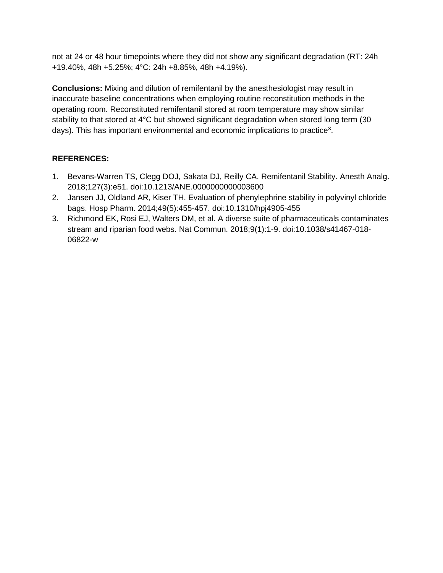not at 24 or 48 hour timepoints where they did not show any significant degradation (RT: 24h +19.40%, 48h +5.25%; 4°C: 24h +8.85%, 48h +4.19%).

**Conclusions:** Mixing and dilution of remifentanil by the anesthesiologist may result in inaccurate baseline concentrations when employing routine reconstitution methods in the operating room. Reconstituted remifentanil stored at room temperature may show similar stability to that stored at 4°C but showed significant degradation when stored long term (30 days). This has important environmental and economic implications to practice<sup>3</sup>.

## **REFERENCES:**

- 1. Bevans-Warren TS, Clegg DOJ, Sakata DJ, Reilly CA. Remifentanil Stability. Anesth Analg. 2018;127(3):e51. doi:10.1213/ANE.0000000000003600
- 2. Jansen JJ, Oldland AR, Kiser TH. Evaluation of phenylephrine stability in polyvinyl chloride bags. Hosp Pharm. 2014;49(5):455-457. doi:10.1310/hpj4905-455
- 3. Richmond EK, Rosi EJ, Walters DM, et al. A diverse suite of pharmaceuticals contaminates stream and riparian food webs. Nat Commun. 2018;9(1):1-9. doi:10.1038/s41467-018- 06822-w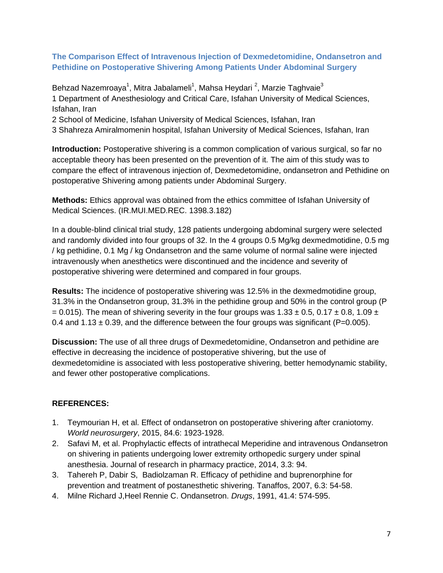#### <span id="page-6-0"></span>**The Comparison Effect of Intravenous Injection of Dexmedetomidine, Ondansetron and Pethidine on Postoperative Shivering Among Patients Under Abdominal Surgery**

Behzad Nazemroaya<sup>1</sup>, Mitra Jabalameli<sup>1</sup>, Mahsa Heydari <sup>2</sup>, Marzie Taghvaie<sup>3</sup> 1 Department of Anesthesiology and Critical Care, Isfahan University of Medical Sciences, Isfahan, Iran

2 School of Medicine, Isfahan University of Medical Sciences, Isfahan, Iran

3 Shahreza Amiralmomenin hospital, Isfahan University of Medical Sciences, Isfahan, Iran

**Introduction:** Postoperative shivering is a common complication of various surgical, so far no acceptable theory has been presented on the prevention of it. The aim of this study was to compare the effect of intravenous injection of, Dexmedetomidine, ondansetron and Pethidine on postoperative Shivering among patients under Abdominal Surgery.

**Methods:** Ethics approval was obtained from the ethics committee of Isfahan University of Medical Sciences. (IR.MUI.MED.REC. 1398.3.182)

In a double-blind clinical trial study, 128 patients undergoing abdominal surgery were selected and randomly divided into four groups of 32. In the 4 groups 0.5 Mg/kg dexmedmotidine, 0.5 mg / kg pethidine, 0.1 Mg / kg Ondansetron and the same volume of normal saline were injected intravenously when anesthetics were discontinued and the incidence and severity of postoperative shivering were determined and compared in four groups.

**Results:** The incidence of postoperative shivering was 12.5% in the dexmedmotidine group, 31.3% in the Ondansetron group, 31.3% in the pethidine group and 50% in the control group (P  $= 0.015$ ). The mean of shivering severity in the four groups was 1.33  $\pm$  0.5, 0.17  $\pm$  0.8, 1.09  $\pm$ 0.4 and  $1.13 \pm 0.39$ , and the difference between the four groups was significant (P=0.005).

**Discussion:** The use of all three drugs of Dexmedetomidine, Ondansetron and pethidine are effective in decreasing the incidence of postoperative shivering, but the use of dexmedetomidine is associated with less postoperative shivering, better hemodynamic stability, and fewer other postoperative complications.

#### **REFERENCES:**

- 1. Teymourian H, et al. Effect of ondansetron on postoperative shivering after craniotomy. *World neurosurgery*, 2015, 84.6: 1923-1928.
- 2. Safavi M, et al. Prophylactic effects of intrathecal Meperidine and intravenous Ondansetron on shivering in patients undergoing lower extremity orthopedic surgery under spinal anesthesia. Journal of research in pharmacy practice, 2014, 3.3: 94.
- 3. Tahereh P, Dabir S, Badiolzaman R. Efficacy of pethidine and buprenorphine for prevention and treatment of postanesthetic shivering. Tanaffos, 2007, 6.3: 54-58.
- 4. Milne Richard J,Heel Rennie C. Ondansetron. *Drugs*, 1991, 41.4: 574-595.